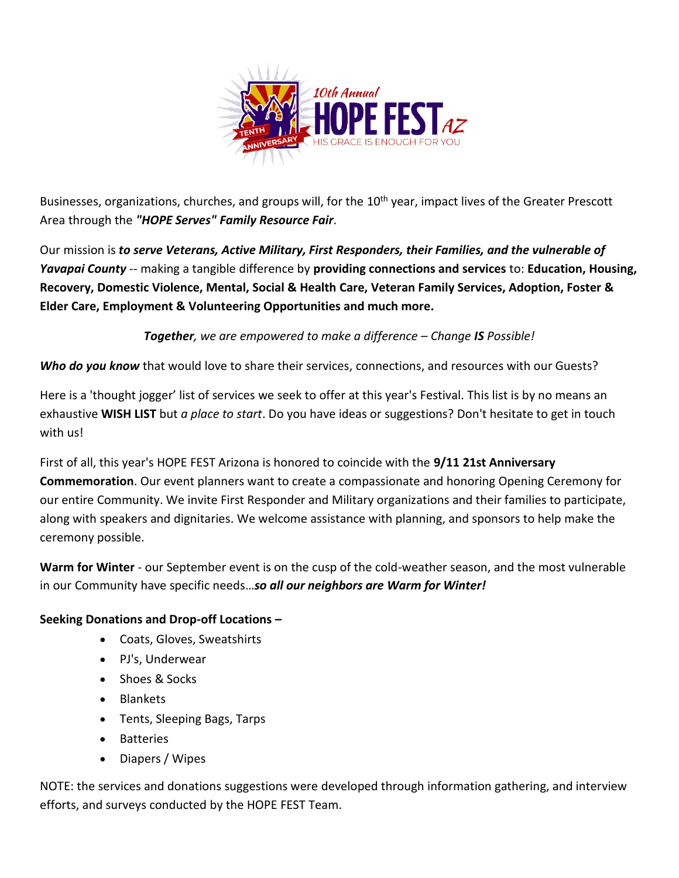

Businesses, organizations, churches, and groups will, for the 10<sup>th</sup> year, impact lives of the Greater Prescott Area through the *"HOPE Serves" Family Resource Fair*.

Our mission is *to serve Veterans, Active Military, First Responders, their Families, and the vulnerable of Yavapai County* -- making a tangible difference by **providing connections and services** to: **Education, Housing, Recovery, Domestic Violence, Mental, Social & Health Care, Veteran Family Services, Adoption, Foster & Elder Care, Employment & Volunteering Opportunities and much more.** 

*Together, we are empowered to make a difference – Change IS Possible!*

*Who do you know* that would love to share their services, connections, and resources with our Guests?

Here is a 'thought jogger' list of services we seek to offer at this year's Festival. This list is by no means an exhaustive **WISH LIST** but *a place to start*. Do you have ideas or suggestions? Don't hesitate to get in touch with us!

First of all, this year's HOPE FEST Arizona is honored to coincide with the **9/11 21st Anniversary Commemoration**. Our event planners want to create a compassionate and honoring Opening Ceremony for our entire Community. We invite First Responder and Military organizations and their families to participate, along with speakers and dignitaries. We welcome assistance with planning, and sponsors to help make the ceremony possible.

**Warm for Winter** - our September event is on the cusp of the cold-weather season, and the most vulnerable in our Community have specific needs…*so all our neighbors are Warm for Winter!*

## **Seeking Donations and Drop-off Locations –**

- Coats, Gloves, Sweatshirts
- PJ's, Underwear
- Shoes & Socks
- Blankets
- Tents, Sleeping Bags, Tarps
- Batteries
- Diapers / Wipes

NOTE: the services and donations suggestions were developed through information gathering, and interview efforts, and surveys conducted by the HOPE FEST Team.